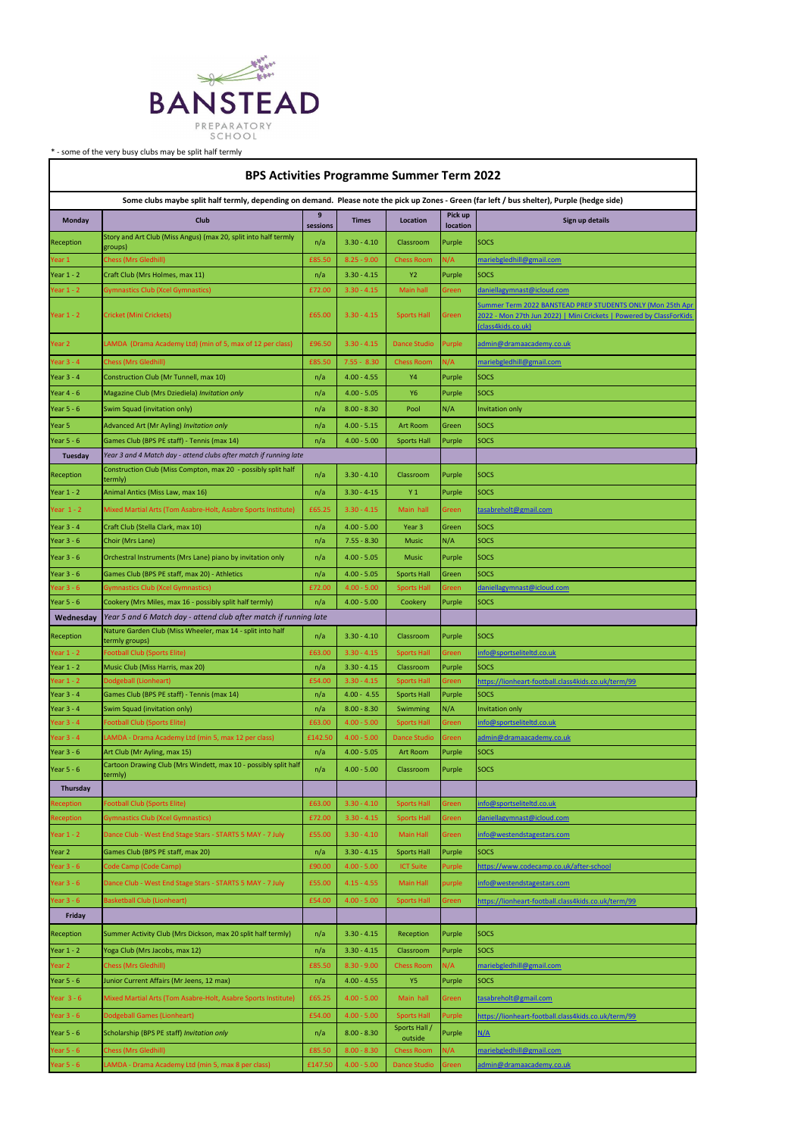

\* - some of the very busy clubs may be split half termly

| Year $3 - 6$ | Code Camp (Code Camp)                                         | £90.00  | $4.00 - 5.00$ | <b>ICT Suite</b>         | Purple | https://www.codecamp.co.uk/after-school             |
|--------------|---------------------------------------------------------------|---------|---------------|--------------------------|--------|-----------------------------------------------------|
| Year $3 - 6$ | Dance Club - West End Stage Stars - STARTS 5 MAY - 7 July     | £55.00  | $4.15 - 4.55$ | <b>Main Hall</b>         | purple | info@westendstagestars.com                          |
| Year $3 - 6$ | <b>Basketball Club (Lionheart)</b>                            | £54.00  | $4.00 - 5.00$ | <b>Sports Hall</b>       | Green  | https://lionheart-football.class4kids.co.uk/term/99 |
| Friday       |                                                               |         |               |                          |        |                                                     |
| Reception    | Summer Activity Club (Mrs Dickson, max 20 split half termly)  | n/a     | $3.30 - 4.15$ | Reception                | Purple | <b>SOCS</b>                                         |
| Year $1 - 2$ | Yoga Club (Mrs Jacobs, max 12)                                | n/a     | $3.30 - 4.15$ | Classroom                | Purple | <b>SOCS</b>                                         |
| Year 2       | <b>Chess (Mrs Gledhill)</b>                                   | £85.50  | $8.30 - 9.00$ | <b>Chess Room</b>        | N/A    | mariebgledhill@gmail.com                            |
| Year $5 - 6$ | Junior Current Affairs (Mr Jeens, 12 max)                     | n/a     | $4.00 - 4.55$ | <b>Y5</b>                | Purple | <b>SOCS</b>                                         |
| Year $3 - 6$ | Mixed Martial Arts (Tom Asabre-Holt, Asabre Sports Institute) | £65.25  | $4.00 - 5.00$ | Main hall                | Green  | tasabreholt@gmail.com                               |
| Year $3 - 6$ | <b>Dodgeball Games (Lionheart)</b>                            | £54.00  | $4.00 - 5.00$ | <b>Sports Hall</b>       | Purple | https://lionheart-football.class4kids.co.uk/term/99 |
| Year $5 - 6$ | Scholarship (BPS PE staff) Invitation only                    | n/a     | $8.00 - 8.30$ | Sports Hall /<br>outside | Purple | N/A                                                 |
| Year $5 - 6$ | <b>Chess (Mrs Gledhill)</b>                                   | £85.50  | $8.00 - 8.30$ | <b>Chess Room</b>        | N/A    | mariebgledhill@gmail.com                            |
| Year $5 - 6$ | LAMDA - Drama Academy Ltd (min 5, max 8 per class)            | £147.50 | $4.00 - 5.00$ | Dance Studio             | Green  | admin@dramaacademy.co.uk                            |

| <b>BPS Activities Programme Summer Term 2022</b>                                                                                             |                                                                              |               |                 |                     |                     |                                                                                                                                                         |  |  |  |  |  |
|----------------------------------------------------------------------------------------------------------------------------------------------|------------------------------------------------------------------------------|---------------|-----------------|---------------------|---------------------|---------------------------------------------------------------------------------------------------------------------------------------------------------|--|--|--|--|--|
| Some clubs maybe split half termly, depending on demand. Please note the pick up Zones - Green (far left / bus shelter), Purple (hedge side) |                                                                              |               |                 |                     |                     |                                                                                                                                                         |  |  |  |  |  |
| Monday                                                                                                                                       | Club                                                                         | 9<br>sessions | <b>Times</b>    | Location            | Pick up<br>location | Sign up details                                                                                                                                         |  |  |  |  |  |
| Reception                                                                                                                                    | Story and Art Club (Miss Angus) (max 20, split into half termly<br>groups)   | n/a           | $3.30 - 4.10$   | Classroom           | Purple              | <b>SOCS</b>                                                                                                                                             |  |  |  |  |  |
| Year 1                                                                                                                                       | <b>Chess (Mrs Gledhill)</b>                                                  | £85.50        | $8.25 - 9.00$   | <b>Chess Room</b>   | N/A                 | mariebgledhill@gmail.com                                                                                                                                |  |  |  |  |  |
| Year $1 - 2$                                                                                                                                 | Craft Club (Mrs Holmes, max 11)                                              | n/a           | $3.30 - 4.15$   | <b>Y2</b>           | Purple              | <b>SOCS</b>                                                                                                                                             |  |  |  |  |  |
| Year $1 - 2$                                                                                                                                 | <b>Gymnastics Club (Xcel Gymnastics)</b>                                     | £72.00        | $3.30 - 4.15$   | Main hall           | Green               | daniellagymnast@icloud.com                                                                                                                              |  |  |  |  |  |
| Year $1 - 2$                                                                                                                                 | <b>Cricket (Mini Crickets)</b>                                               | £65.00        | $3.30 - 4.15$   | <b>Sports Hall</b>  | Green               | Summer Term 2022 BANSTEAD PREP STUDENTS ONLY (Mon 25th Apr<br>2022 - Mon 27th Jun 2022)   Mini Crickets   Powered by ClassForKids<br>(class4kids.co.uk) |  |  |  |  |  |
| Year 2                                                                                                                                       | LAMDA (Drama Academy Ltd) (min of 5, max of 12 per class)                    | £96.50        | $3.30 - 4.15$   | Dance Studio        | Purple              | <u>admin@dramaacademy.co.uk</u>                                                                                                                         |  |  |  |  |  |
| Year $3 - 4$                                                                                                                                 | Chess (Mrs Gledhill)                                                         | £85.50        | $7.55 - 8.30$   | <b>Chess Room</b>   | N/A                 | mariebgledhill@gmail.com                                                                                                                                |  |  |  |  |  |
| Year $3 - 4$                                                                                                                                 | Construction Club (Mr Tunnell, max 10)                                       | n/a           | $4.00 - 4.55$   | Υ4                  | Purple              | <b>SOCS</b>                                                                                                                                             |  |  |  |  |  |
| Year $4 - 6$                                                                                                                                 | Magazine Club (Mrs Dziediela) Invitation only                                | n/a           | $4.00 - 5.05$   | Y6                  | Purple              | <b>SOCS</b>                                                                                                                                             |  |  |  |  |  |
| Year $5 - 6$                                                                                                                                 | Swim Squad (invitation only)                                                 | n/a           | $8.00 - 8.30$   | Pool                | N/A                 | Invitation only                                                                                                                                         |  |  |  |  |  |
| Year 5                                                                                                                                       | Advanced Art (Mr Ayling) Invitation only                                     | n/a           | $4.00 - 5.15$   | <b>Art Room</b>     | Green               | SOCS                                                                                                                                                    |  |  |  |  |  |
| Year $5 - 6$                                                                                                                                 | Games Club (BPS PE staff) - Tennis (max 14)                                  | n/a           | $4.00 - 5.00$   | <b>Sports Hall</b>  | Purple              | <b>SOCS</b>                                                                                                                                             |  |  |  |  |  |
| Tuesday                                                                                                                                      | Year 3 and 4 Match day - attend clubs after match if running late            |               |                 |                     |                     |                                                                                                                                                         |  |  |  |  |  |
| Reception                                                                                                                                    | Construction Club (Miss Compton, max 20 - possibly split half<br>termly)     | n/a           | $3.30 - 4.10$   | Classroom           | Purple              | <b>SOCS</b>                                                                                                                                             |  |  |  |  |  |
| Year $1 - 2$                                                                                                                                 | Animal Antics (Miss Law, max 16)                                             | n/a           | $3.30 - 4 - 15$ | Y <sub>1</sub>      | Purple              | <b>SOCS</b>                                                                                                                                             |  |  |  |  |  |
| Year $1 - 2$                                                                                                                                 | Mixed Martial Arts (Tom Asabre-Holt, Asabre Sports Institute)                | £65.25        | $3.30 - 4.15$   | Main hall           | Green               | tasabreholt@gmail.com                                                                                                                                   |  |  |  |  |  |
| Year $3 - 4$                                                                                                                                 | Craft Club (Stella Clark, max 10)                                            | n/a           | $4.00 - 5.00$   | Year 3              | Green               | <b>SOCS</b>                                                                                                                                             |  |  |  |  |  |
| Year $3 - 6$                                                                                                                                 | Choir (Mrs Lane)                                                             | n/a           | $7.55 - 8.30$   | <b>Music</b>        | N/A                 | <b>SOCS</b>                                                                                                                                             |  |  |  |  |  |
| Year $3 - 6$                                                                                                                                 | Orchestral Instruments (Mrs Lane) piano by invitation only                   | n/a           | $4.00 - 5.05$   | <b>Music</b>        | Purple              | <b>SOCS</b>                                                                                                                                             |  |  |  |  |  |
| Year $3 - 6$                                                                                                                                 | Games Club (BPS PE staff, max 20) - Athletics                                | n/a           | $4.00 - 5.05$   | <b>Sports Hall</b>  | Green               | <b>SOCS</b>                                                                                                                                             |  |  |  |  |  |
| Year $3 - 6$                                                                                                                                 | Gymnastics Club (Xcel Gymnastics)                                            | £72.00        | $4.00 - 5.00$   | <b>Sports Hall</b>  | Green               | daniellagymnast@icloud.com                                                                                                                              |  |  |  |  |  |
| Year $5 - 6$                                                                                                                                 | Cookery (Mrs Miles, max 16 - possibly split half termly)                     | n/a           | $4.00 - 5.00$   | Cookery             | Purple              | <b>SOCS</b>                                                                                                                                             |  |  |  |  |  |
| Wednesday                                                                                                                                    | Year 5 and 6 Match day - attend club after match if running late             |               |                 |                     |                     |                                                                                                                                                         |  |  |  |  |  |
| Reception                                                                                                                                    | Nature Garden Club (Miss Wheeler, max 14 - split into half<br>termly groups) | n/a           | $3.30 - 4.10$   | Classroom           | Purple              | <b>SOCS</b>                                                                                                                                             |  |  |  |  |  |
| Year $1 - 2$                                                                                                                                 | <b>Football Club (Sports Elite)</b>                                          | £63.00        | $3.30 - 4.15$   | <b>Sports Hall</b>  | Green               | info@sportseliteltd.co.uk                                                                                                                               |  |  |  |  |  |
| Year $1 - 2$                                                                                                                                 | Music Club (Miss Harris, max 20)                                             | n/a           | $3.30 - 4.15$   | Classroom           | Purple              | SOCS                                                                                                                                                    |  |  |  |  |  |
| Year $1 - 2$                                                                                                                                 | Dodgeball (Lionheart)                                                        | £54.00        | $3.30 - 4.15$   | <b>Sports Hall</b>  | Green               | https://lionheart-football.class4kids.co.uk/term/99                                                                                                     |  |  |  |  |  |
| Year $3 - 4$                                                                                                                                 | Games Club (BPS PE staff) - Tennis (max 14)                                  | n/a           | $4.00 - 4.55$   | <b>Sports Hall</b>  | Purple              | <b>SOCS</b>                                                                                                                                             |  |  |  |  |  |
| Year $3 - 4$                                                                                                                                 | Swim Squad (invitation only)                                                 | n/a           | $8.00 - 8.30$   | Swimming            | N/A                 | <b>Invitation only</b>                                                                                                                                  |  |  |  |  |  |
| Year $3 - 4$                                                                                                                                 | <b>Football Club (Sports Elite)</b>                                          | £63.00        | $4.00 - 5.00$   | <b>Sports Hall</b>  | Green               | info@sportseliteltd.co.uk                                                                                                                               |  |  |  |  |  |
| Year $3 - 4$                                                                                                                                 | LAMDA - Drama Academy Ltd (min 5, max 12 per class)                          | £142.50       | $4.00 - 5.00$   | <b>Dance Studio</b> | Green               | admin@dramaacademy.co.uk                                                                                                                                |  |  |  |  |  |
| Year $3 - 6$                                                                                                                                 | Art Club (Mr Ayling, max 15)                                                 | n/a           | $4.00 - 5.05$   | Art Room            | Purple              | <b>SOCS</b>                                                                                                                                             |  |  |  |  |  |
| Year $5 - 6$                                                                                                                                 | Cartoon Drawing Club (Mrs Windett, max 10 - possibly split half<br>termly)   | n/a           | $4.00 - 5.00$   | Classroom           | Purple              | <b>SOCS</b>                                                                                                                                             |  |  |  |  |  |
| <b>Thursday</b>                                                                                                                              |                                                                              |               |                 |                     |                     |                                                                                                                                                         |  |  |  |  |  |
| Reception                                                                                                                                    | <b>Football Club (Sports Elite)</b>                                          | £63.00        | $3.30 - 4.10$   | <b>Sports Hall</b>  | Green               | info@sportseliteltd.co.uk                                                                                                                               |  |  |  |  |  |
| Reception                                                                                                                                    | <b>Gymnastics Club (Xcel Gymnastics)</b>                                     | £72.00        | $3.30 - 4.15$   | <b>Sports Hall</b>  | Green               | daniellagymnast@icloud.com                                                                                                                              |  |  |  |  |  |
| Year $1 - 2$                                                                                                                                 | Dance Club - West End Stage Stars - STARTS 5 MAY - 7 July                    | £55.00        | $3.30 - 4.10$   | Main Hall           | Green               | info@westendstagestars.com                                                                                                                              |  |  |  |  |  |
| Year 2                                                                                                                                       | Games Club (BPS PE staff, max 20)                                            | n/a           | $3.30 - 4.15$   | <b>Sports Hall</b>  | Purple              | <b>SOCS</b>                                                                                                                                             |  |  |  |  |  |

٦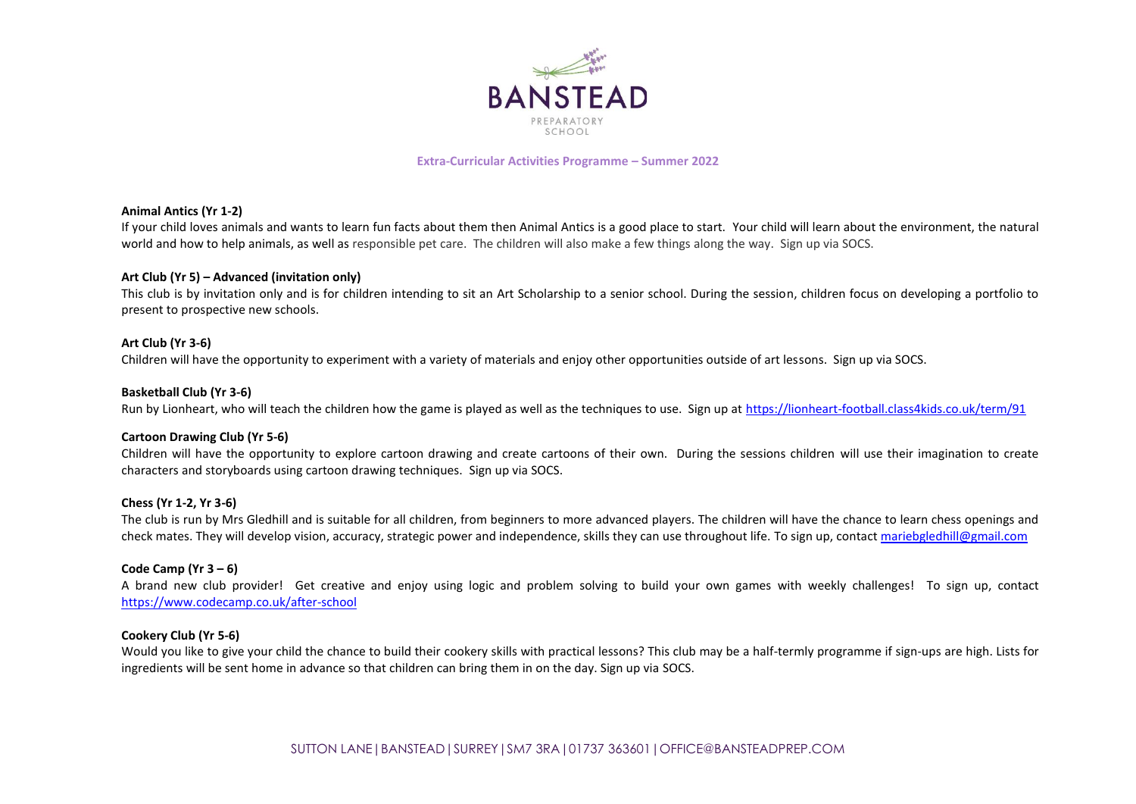

**Extra-Curricular Activities Programme – Summer 2022**

#### **Animal Antics (Yr 1-2)**

If your child loves animals and wants to learn fun facts about them then Animal Antics is a good place to start. Your child will learn about the environment, the natural world and how to help animals, as well as responsible pet care. The children will also make a few things along the way. Sign up via SOCS.

#### **Art Club (Yr 5) – Advanced (invitation only)**

This club is by invitation only and is for children intending to sit an Art Scholarship to a senior school. During the session, children focus on developing a portfolio to present to prospective new schools.

#### **Art Club (Yr 3-6)**

Children will have the opportunity to experiment with a variety of materials and enjoy other opportunities outside of art lessons. Sign up via SOCS.

#### **Basketball Club (Yr 3-6)**

Run by Lionheart, who will teach the children how the game is played as well as the techniques to use. Sign up at <https://lionheart-football.class4kids.co.uk/term/91>

#### **Cartoon Drawing Club (Yr 5-6)**

Children will have the opportunity to explore cartoon drawing and create cartoons of their own. During the sessions children will use their imagination to create characters and storyboards using cartoon drawing techniques. Sign up via SOCS.

#### **Chess (Yr 1-2, Yr 3-6)**

The club is run by Mrs Gledhill and is suitable for all children, from beginners to more advanced players. The children will have the chance to learn chess openings and check mates. They will develop vision, accuracy, strategic power and independence, skills they can use throughout life. To sign up, contac[t mariebgledhill@gmail.com](mailto:mariebgledhill@gmail.com)

#### **Code Camp (Yr 3 – 6)**

A brand new club provider! Get creative and enjoy using logic and problem solving to build your own games with weekly challenges! To sign up, contact <https://www.codecamp.co.uk/after-school>

#### **Cookery Club (Yr 5-6)**

Would you like to give your child the chance to build their cookery skills with practical lessons? This club may be a half-termly programme if sign-ups are high. Lists for ingredients will be sent home in advance so that children can bring them in on the day. Sign up via SOCS.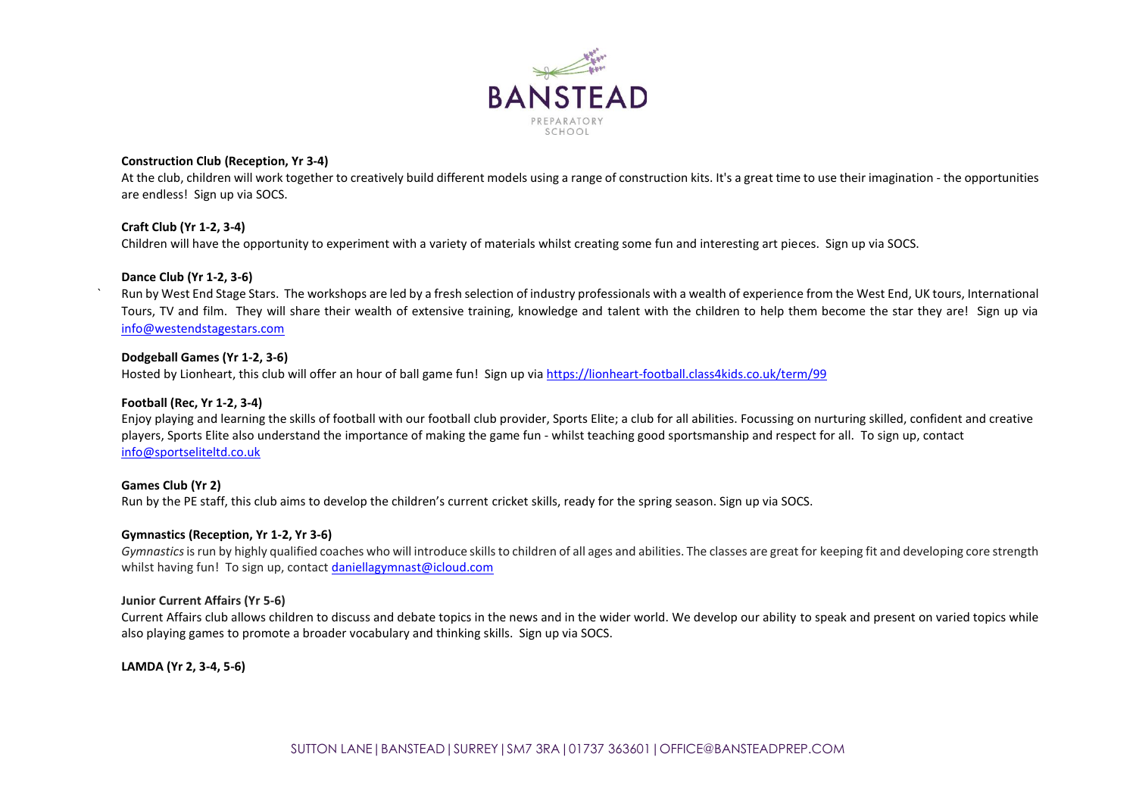

### **Construction Club (Reception, Yr 3-4)**

At the club, children will work together to creatively build different models using a range of construction kits. It's a great time to use their imagination - the opportunities are endless! Sign up via SOCS.

### **Craft Club (Yr 1-2, 3-4)**

Children will have the opportunity to experiment with a variety of materials whilst creating some fun and interesting art pieces. Sign up via SOCS.

### **Dance Club (Yr 1-2, 3-6)**

` Run by West End Stage Stars. The workshops are led by a fresh selection of industry professionals with a wealth of experience from the West End, UK tours, International Tours, TV and film. They will share their wealth of extensive training, knowledge and talent with the children to help them become the star they are! Sign up via [info@westendstagestars.com](mailto:info@westendstagestars.com)

## **Dodgeball Games (Yr 1-2, 3-6)**

Hosted by Lionheart, this club will offer an hour of ball game fun! Sign up via [https://lionheart-football.class4kids.co.uk/term/99](https://gbr01.safelinks.protection.outlook.com/?url=https%3A%2F%2Flionheart-football.class4kids.co.uk%2Fterm%2F99&data=04%7C01%7Cjo.twyford%40bansteadprep.com%7C06a9b4322991466f0e7808da07454b5b%7Cd4821fca991f427da30944977d07b38a%7C0%7C0%7C637830291451699588%7CUnknown%7CTWFpbGZsb3d8eyJWIjoiMC4wLjAwMDAiLCJQIjoiV2luMzIiLCJBTiI6Ik1haWwiLCJXVCI6Mn0%3D%7C3000&sdata=43ujlXDBttD81%2ByPw%2FfbbX0vMcbOSiYxLkNW0YwP1Xc%3D&reserved=0)

### **Football (Rec, Yr 1-2, 3-4)**

Enjoy playing and learning the skills of football with our football club provider, Sports Elite; a club for all abilities. Focussing on nurturing skilled, confident and creative players, Sports Elite also understand the importance of making the game fun - whilst teaching good sportsmanship and respect for all. To sign up, contact [info@sportseliteltd.co.uk](mailto:info@sportseliteltd.co.uk)

# **Games Club (Yr 2)**

Run by the PE staff, this club aims to develop the children's current cricket skills, ready for the spring season. Sign up via SOCS.

### **Gymnastics (Reception, Yr 1-2, Yr 3-6)**

*Gymnastics*is run by highly qualified coaches who will introduce skills to children of all ages and abilities. The classes are great for keeping fit and developing core strength whilst having fun! To sign up, contact [daniellagymnast@icloud.com](mailto:daniellagymnast@icloud.com)

### **Junior Current Affairs (Yr 5-6)**

Current Affairs club allows children to discuss and debate topics in the news and in the wider world. We develop our ability to speak and present on varied topics while also playing games to promote a broader vocabulary and thinking skills. Sign up via SOCS.

# **LAMDA (Yr 2, 3-4, 5-6)**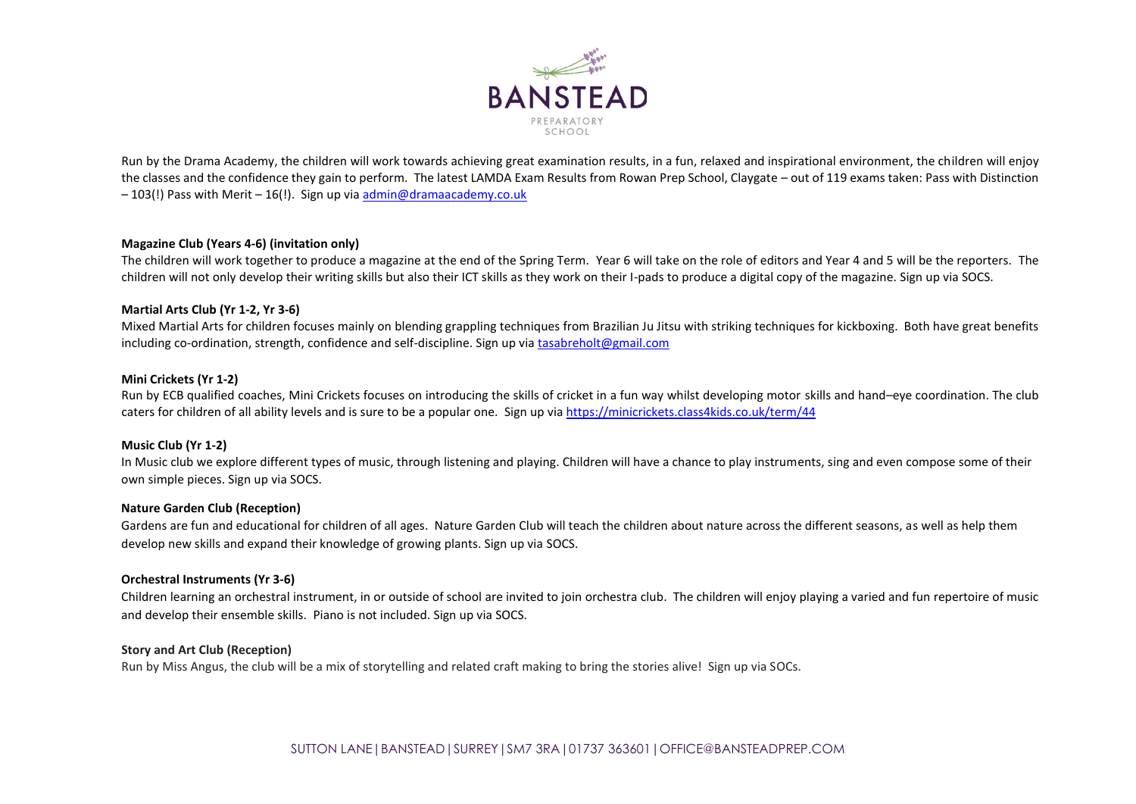

Run by the Drama Academy, the children will work towards achieving great examination results, in a fun, relaxed and inspirational environment, the children will enjoy the classes and the confidence they gain to perform. The latest LAMDA Exam Results from Rowan Prep School, Claygate – out of 119 exams taken: Pass with Distinction – 103(!) Pass with Merit – 16(!). Sign up via [admin@dramaacademy.co.uk](mailto:admin@dramaacademy.co.uk)

### **Magazine Club (Years 4-6) (invitation only)**

The children will work together to produce a magazine at the end of the Spring Term. Year 6 will take on the role of editors and Year 4 and 5 will be the reporters. The children will not only develop their writing skills but also their ICT skills as they work on their I-pads to produce a digital copy of the magazine. Sign up via SOCS.

### **Martial Arts Club (Yr 1-2, Yr 3-6)**

Mixed Martial Arts for children focuses mainly on blending grappling techniques from Brazilian Ju Jitsu with striking techniques for kickboxing. Both have great benefits including co-ordination, strength, confidence and self-discipline. Sign up vi[a tasabreholt@gmail.com](mailto:tasabreholt@gmail.com)

### **Mini Crickets (Yr 1-2)**

Run by ECB qualified coaches, Mini Crickets focuses on introducing the skills of cricket in a fun way whilst developing motor skills and hand–eye coordination. The club caters for children of all ability levels and is sure to be a popular one. Sign up via [https://minicrickets.class4kids.co.uk/term/44](https://gbr01.safelinks.protection.outlook.com/?url=https%3A%2F%2Fminicrickets.class4kids.co.uk%2Fterm%2F44&data=04%7C01%7Cjo.twyford%40bansteadprep.com%7C515af37f3107427b8bc108d89715ae90%7Cd4821fca991f427da30944977d07b38a%7C0%7C0%7C637425466661340591%7CUnknown%7CTWFpbGZsb3d8eyJWIjoiMC4wLjAwMDAiLCJQIjoiV2luMzIiLCJBTiI6Ik1haWwiLCJXVCI6Mn0%3D%7C1000&sdata=%2FKSqHqtqI3nnw29BQur1Cep%2BXqW35PjRt7F9MhQBjmw%3D&reserved=0)

#### **Music Club (Yr 1-2)**

In Music club we explore different types of music, through listening and playing. Children will have a chance to play instruments, sing and even compose some of their own simple pieces. Sign up via SOCS.

#### **Nature Garden Club (Reception)**

Gardens are fun and educational for children of all ages. Nature Garden Club will teach the children about nature across the different seasons, as well as help them develop new skills and expand their knowledge of growing plants. Sign up via SOCS.

#### **Orchestral Instruments (Yr 3-6)**

Children learning an orchestral instrument, in or outside of school are invited to join orchestra club. The children will enjoy playing a varied and fun repertoire of music and develop their ensemble skills. Piano is not included. Sign up via SOCS.

## **Story and Art Club (Reception)**

Run by Miss Angus, the club will be a mix of storytelling and related craft making to bring the stories alive! Sign up via SOCs.